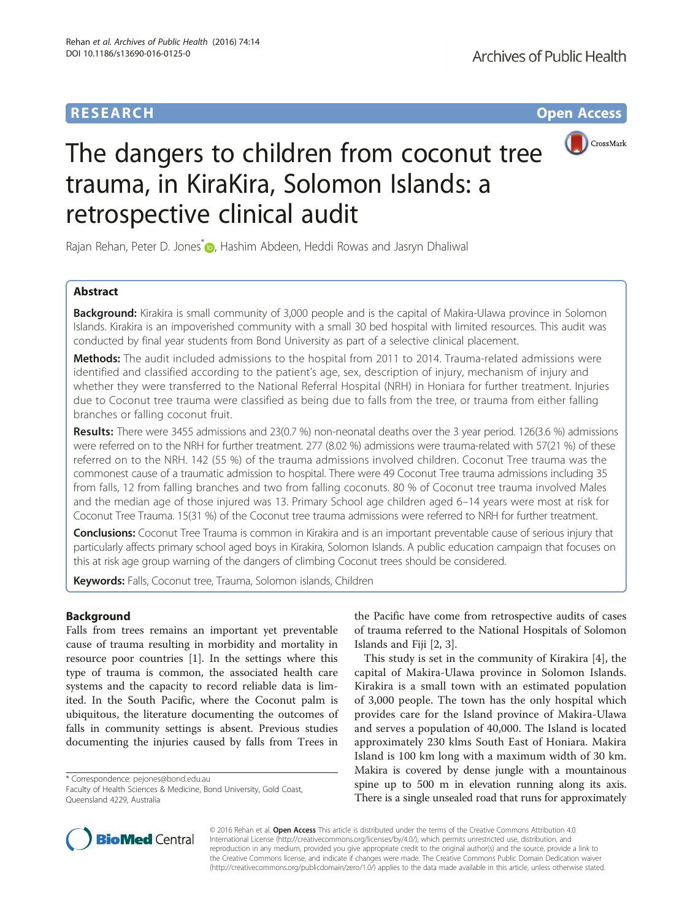# **RESEARCH CHE Open Access**



# The dangers to children from coconut tree trauma, in KiraKira, Solomon Islands: a retrospective clinical audit

Rajan Rehan[,](http://orcid.org/0000-0002-8099-4513) Peter D. Jones D, Hashim Abdeen, Heddi Rowas and Jasryn Dhaliwal

# Abstract

**Background:** Kirakira is small community of 3,000 people and is the capital of Makira-Ulawa province in Solomon Islands. Kirakira is an impoverished community with a small 30 bed hospital with limited resources. This audit was conducted by final year students from Bond University as part of a selective clinical placement.

Methods: The audit included admissions to the hospital from 2011 to 2014. Trauma-related admissions were identified and classified according to the patient's age, sex, description of injury, mechanism of injury and whether they were transferred to the National Referral Hospital (NRH) in Honiara for further treatment. Injuries due to Coconut tree trauma were classified as being due to falls from the tree, or trauma from either falling branches or falling coconut fruit.

Results: There were 3455 admissions and 23(0.7 %) non-neonatal deaths over the 3 year period. 126(3.6 %) admissions were referred on to the NRH for further treatment. 277 (8.02 %) admissions were trauma-related with 57(21 %) of these referred on to the NRH. 142 (55 %) of the trauma admissions involved children. Coconut Tree trauma was the commonest cause of a traumatic admission to hospital. There were 49 Coconut Tree trauma admissions including 35 from falls, 12 from falling branches and two from falling coconuts. 80 % of Coconut tree trauma involved Males and the median age of those injured was 13. Primary School age children aged 6–14 years were most at risk for Coconut Tree Trauma. 15(31 %) of the Coconut tree trauma admissions were referred to NRH for further treatment.

**Conclusions:** Coconut Tree Trauma is common in Kirakira and is an important preventable cause of serious injury that particularly affects primary school aged boys in Kirakira, Solomon Islands. A public education campaign that focuses on this at risk age group warning of the dangers of climbing Coconut trees should be considered.

Keywords: Falls, Coconut tree, Trauma, Solomon islands, Children

# Background

Falls from trees remains an important yet preventable cause of trauma resulting in morbidity and mortality in resource poor countries [\[1](#page-4-0)]. In the settings where this type of trauma is common, the associated health care systems and the capacity to record reliable data is limited. In the South Pacific, where the Coconut palm is ubiquitous, the literature documenting the outcomes of falls in community settings is absent. Previous studies documenting the injuries caused by falls from Trees in

\* Correspondence: [pejones@bond.edu.au](mailto:pejones@bond.edu.au)

Faculty of Health Sciences & Medicine, Bond University, Gold Coast, Queensland 4229, Australia

the Pacific have come from retrospective audits of cases of trauma referred to the National Hospitals of Solomon Islands and Fiji [[2,](#page-4-0) [3\]](#page--1-0).

This study is set in the community of Kirakira [[4](#page--1-0)], the capital of Makira-Ulawa province in Solomon Islands. Kirakira is a small town with an estimated population of 3,000 people. The town has the only hospital which provides care for the Island province of Makira-Ulawa and serves a population of 40,000. The Island is located approximately 230 klms South East of Honiara. Makira Island is 100 km long with a maximum width of 30 km. Makira is covered by dense jungle with a mountainous spine up to 500 m in elevation running along its axis. There is a single unsealed road that runs for approximately



© 2016 Rehan et al. Open Access This article is distributed under the terms of the Creative Commons Attribution 4.0 International License [\(http://creativecommons.org/licenses/by/4.0/](http://creativecommons.org/licenses/by/4.0/)), which permits unrestricted use, distribution, and reproduction in any medium, provided you give appropriate credit to the original author(s) and the source, provide a link to the Creative Commons license, and indicate if changes were made. The Creative Commons Public Domain Dedication waiver [\(http://creativecommons.org/publicdomain/zero/1.0/](http://creativecommons.org/publicdomain/zero/1.0/)) applies to the data made available in this article, unless otherwise stated.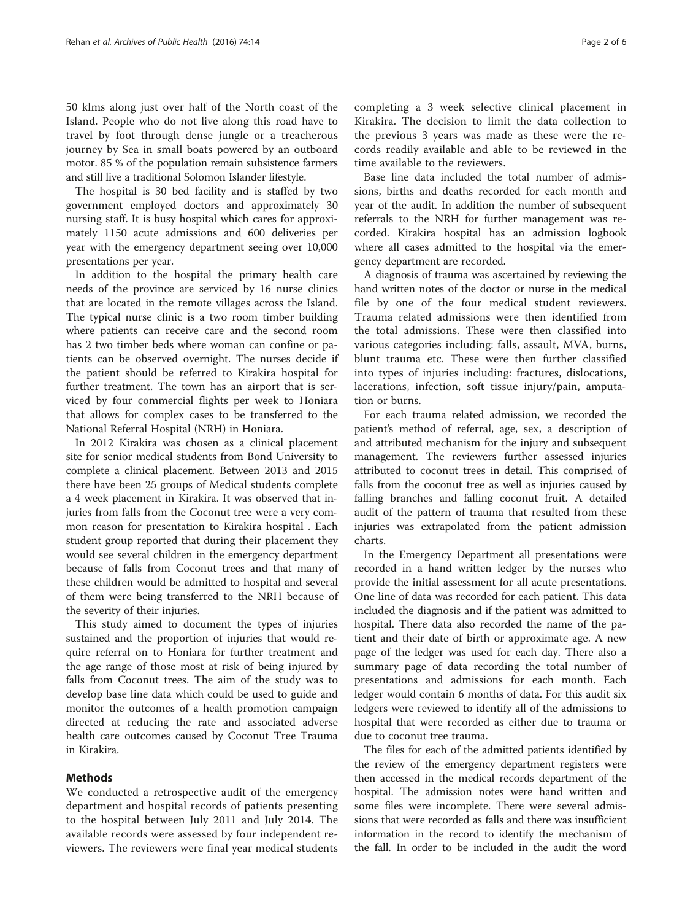50 klms along just over half of the North coast of the Island. People who do not live along this road have to travel by foot through dense jungle or a treacherous journey by Sea in small boats powered by an outboard motor. 85 % of the population remain subsistence farmers and still live a traditional Solomon Islander lifestyle.

The hospital is 30 bed facility and is staffed by two government employed doctors and approximately 30 nursing staff. It is busy hospital which cares for approximately 1150 acute admissions and 600 deliveries per year with the emergency department seeing over 10,000 presentations per year.

In addition to the hospital the primary health care needs of the province are serviced by 16 nurse clinics that are located in the remote villages across the Island. The typical nurse clinic is a two room timber building where patients can receive care and the second room has 2 two timber beds where woman can confine or patients can be observed overnight. The nurses decide if the patient should be referred to Kirakira hospital for further treatment. The town has an airport that is serviced by four commercial flights per week to Honiara that allows for complex cases to be transferred to the National Referral Hospital (NRH) in Honiara.

In 2012 Kirakira was chosen as a clinical placement site for senior medical students from Bond University to complete a clinical placement. Between 2013 and 2015 there have been 25 groups of Medical students complete a 4 week placement in Kirakira. It was observed that injuries from falls from the Coconut tree were a very common reason for presentation to Kirakira hospital . Each student group reported that during their placement they would see several children in the emergency department because of falls from Coconut trees and that many of these children would be admitted to hospital and several of them were being transferred to the NRH because of the severity of their injuries.

This study aimed to document the types of injuries sustained and the proportion of injuries that would require referral on to Honiara for further treatment and the age range of those most at risk of being injured by falls from Coconut trees. The aim of the study was to develop base line data which could be used to guide and monitor the outcomes of a health promotion campaign directed at reducing the rate and associated adverse health care outcomes caused by Coconut Tree Trauma in Kirakira.

## Methods

We conducted a retrospective audit of the emergency department and hospital records of patients presenting to the hospital between July 2011 and July 2014. The available records were assessed by four independent reviewers. The reviewers were final year medical students completing a 3 week selective clinical placement in Kirakira. The decision to limit the data collection to the previous 3 years was made as these were the records readily available and able to be reviewed in the time available to the reviewers.

Base line data included the total number of admissions, births and deaths recorded for each month and year of the audit. In addition the number of subsequent referrals to the NRH for further management was recorded. Kirakira hospital has an admission logbook where all cases admitted to the hospital via the emergency department are recorded.

A diagnosis of trauma was ascertained by reviewing the hand written notes of the doctor or nurse in the medical file by one of the four medical student reviewers. Trauma related admissions were then identified from the total admissions. These were then classified into various categories including: falls, assault, MVA, burns, blunt trauma etc. These were then further classified into types of injuries including: fractures, dislocations, lacerations, infection, soft tissue injury/pain, amputation or burns.

For each trauma related admission, we recorded the patient's method of referral, age, sex, a description of and attributed mechanism for the injury and subsequent management. The reviewers further assessed injuries attributed to coconut trees in detail. This comprised of falls from the coconut tree as well as injuries caused by falling branches and falling coconut fruit. A detailed audit of the pattern of trauma that resulted from these injuries was extrapolated from the patient admission charts.

In the Emergency Department all presentations were recorded in a hand written ledger by the nurses who provide the initial assessment for all acute presentations. One line of data was recorded for each patient. This data included the diagnosis and if the patient was admitted to hospital. There data also recorded the name of the patient and their date of birth or approximate age. A new page of the ledger was used for each day. There also a summary page of data recording the total number of presentations and admissions for each month. Each ledger would contain 6 months of data. For this audit six ledgers were reviewed to identify all of the admissions to hospital that were recorded as either due to trauma or due to coconut tree trauma.

The files for each of the admitted patients identified by the review of the emergency department registers were then accessed in the medical records department of the hospital. The admission notes were hand written and some files were incomplete. There were several admissions that were recorded as falls and there was insufficient information in the record to identify the mechanism of the fall. In order to be included in the audit the word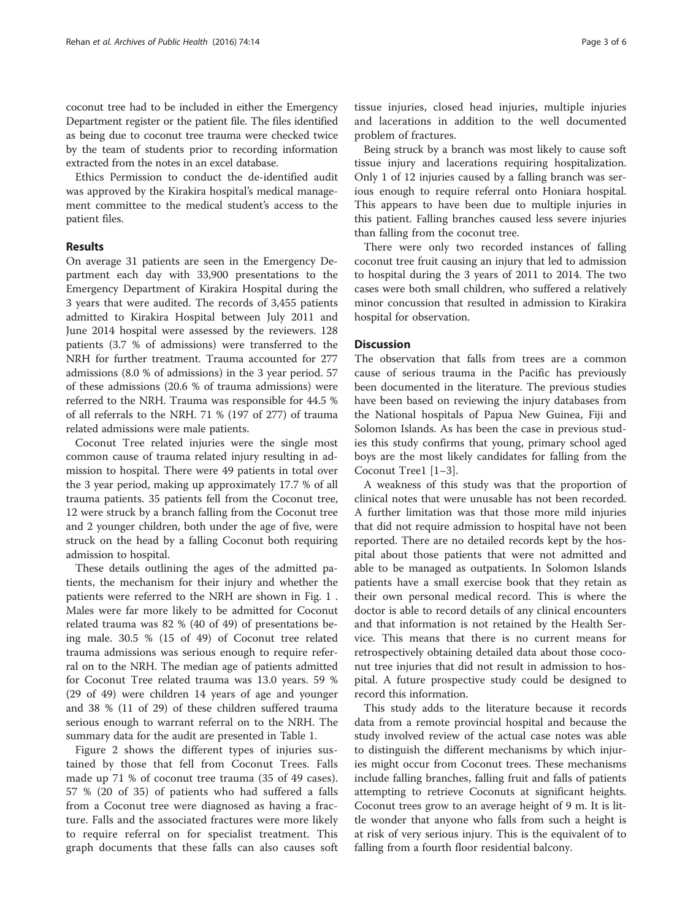coconut tree had to be included in either the Emergency Department register or the patient file. The files identified as being due to coconut tree trauma were checked twice by the team of students prior to recording information extracted from the notes in an excel database.

Ethics Permission to conduct the de-identified audit was approved by the Kirakira hospital's medical management committee to the medical student's access to the patient files.

## Results

On average 31 patients are seen in the Emergency Department each day with 33,900 presentations to the Emergency Department of Kirakira Hospital during the 3 years that were audited. The records of 3,455 patients admitted to Kirakira Hospital between July 2011 and June 2014 hospital were assessed by the reviewers. 128 patients (3.7 % of admissions) were transferred to the NRH for further treatment. Trauma accounted for 277 admissions (8.0 % of admissions) in the 3 year period. 57 of these admissions (20.6 % of trauma admissions) were referred to the NRH. Trauma was responsible for 44.5 % of all referrals to the NRH. 71 % (197 of 277) of trauma related admissions were male patients.

Coconut Tree related injuries were the single most common cause of trauma related injury resulting in admission to hospital. There were 49 patients in total over the 3 year period, making up approximately 17.7 % of all trauma patients. 35 patients fell from the Coconut tree, 12 were struck by a branch falling from the Coconut tree and 2 younger children, both under the age of five, were struck on the head by a falling Coconut both requiring admission to hospital.

These details outlining the ages of the admitted patients, the mechanism for their injury and whether the patients were referred to the NRH are shown in Fig. [1](#page-3-0) . Males were far more likely to be admitted for Coconut related trauma was 82 % (40 of 49) of presentations being male. 30.5 % (15 of 49) of Coconut tree related trauma admissions was serious enough to require referral on to the NRH. The median age of patients admitted for Coconut Tree related trauma was 13.0 years. 59 % (29 of 49) were children 14 years of age and younger and 38 % (11 of 29) of these children suffered trauma serious enough to warrant referral on to the NRH. The summary data for the audit are presented in Table [1.](#page-4-0)

Figure [2](#page-3-0) shows the different types of injuries sustained by those that fell from Coconut Trees. Falls made up 71 % of coconut tree trauma (35 of 49 cases). 57 % (20 of 35) of patients who had suffered a falls from a Coconut tree were diagnosed as having a fracture. Falls and the associated fractures were more likely to require referral on for specialist treatment. This graph documents that these falls can also causes soft

tissue injuries, closed head injuries, multiple injuries and lacerations in addition to the well documented problem of fractures.

Being struck by a branch was most likely to cause soft tissue injury and lacerations requiring hospitalization. Only 1 of 12 injuries caused by a falling branch was serious enough to require referral onto Honiara hospital. This appears to have been due to multiple injuries in this patient. Falling branches caused less severe injuries than falling from the coconut tree.

There were only two recorded instances of falling coconut tree fruit causing an injury that led to admission to hospital during the 3 years of 2011 to 2014. The two cases were both small children, who suffered a relatively minor concussion that resulted in admission to Kirakira hospital for observation.

## **Discussion**

The observation that falls from trees are a common cause of serious trauma in the Pacific has previously been documented in the literature. The previous studies have been based on reviewing the injury databases from the National hospitals of Papua New Guinea, Fiji and Solomon Islands. As has been the case in previous studies this study confirms that young, primary school aged boys are the most likely candidates for falling from the Coconut Tree1 [[1](#page-4-0)–[3\]](#page--1-0).

A weakness of this study was that the proportion of clinical notes that were unusable has not been recorded. A further limitation was that those more mild injuries that did not require admission to hospital have not been reported. There are no detailed records kept by the hospital about those patients that were not admitted and able to be managed as outpatients. In Solomon Islands patients have a small exercise book that they retain as their own personal medical record. This is where the doctor is able to record details of any clinical encounters and that information is not retained by the Health Service. This means that there is no current means for retrospectively obtaining detailed data about those coconut tree injuries that did not result in admission to hospital. A future prospective study could be designed to record this information.

This study adds to the literature because it records data from a remote provincial hospital and because the study involved review of the actual case notes was able to distinguish the different mechanisms by which injuries might occur from Coconut trees. These mechanisms include falling branches, falling fruit and falls of patients attempting to retrieve Coconuts at significant heights. Coconut trees grow to an average height of 9 m. It is little wonder that anyone who falls from such a height is at risk of very serious injury. This is the equivalent of to falling from a fourth floor residential balcony.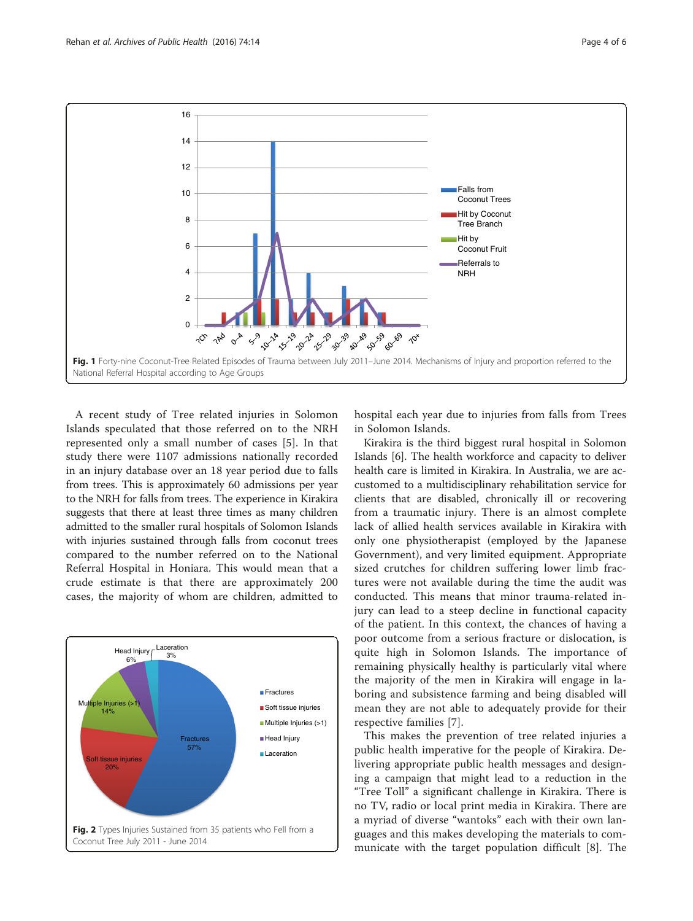<span id="page-3-0"></span>

A recent study of Tree related injuries in Solomon Islands speculated that those referred on to the NRH represented only a small number of cases [[5\]](#page--1-0). In that study there were 1107 admissions nationally recorded in an injury database over an 18 year period due to falls from trees. This is approximately 60 admissions per year to the NRH for falls from trees. The experience in Kirakira suggests that there at least three times as many children admitted to the smaller rural hospitals of Solomon Islands with injuries sustained through falls from coconut trees compared to the number referred on to the National Referral Hospital in Honiara. This would mean that a crude estimate is that there are approximately 200 cases, the majority of whom are children, admitted to



hospital each year due to injuries from falls from Trees in Solomon Islands.

Kirakira is the third biggest rural hospital in Solomon Islands [[6\]](#page--1-0). The health workforce and capacity to deliver health care is limited in Kirakira. In Australia, we are accustomed to a multidisciplinary rehabilitation service for clients that are disabled, chronically ill or recovering from a traumatic injury. There is an almost complete lack of allied health services available in Kirakira with only one physiotherapist (employed by the Japanese Government), and very limited equipment. Appropriate sized crutches for children suffering lower limb fractures were not available during the time the audit was conducted. This means that minor trauma-related injury can lead to a steep decline in functional capacity of the patient. In this context, the chances of having a poor outcome from a serious fracture or dislocation, is quite high in Solomon Islands. The importance of remaining physically healthy is particularly vital where the majority of the men in Kirakira will engage in laboring and subsistence farming and being disabled will mean they are not able to adequately provide for their respective families [[7](#page--1-0)].

This makes the prevention of tree related injuries a public health imperative for the people of Kirakira. Delivering appropriate public health messages and designing a campaign that might lead to a reduction in the "Tree Toll" a significant challenge in Kirakira. There is no TV, radio or local print media in Kirakira. There are a myriad of diverse "wantoks" each with their own languages and this makes developing the materials to communicate with the target population difficult [[8](#page--1-0)]. The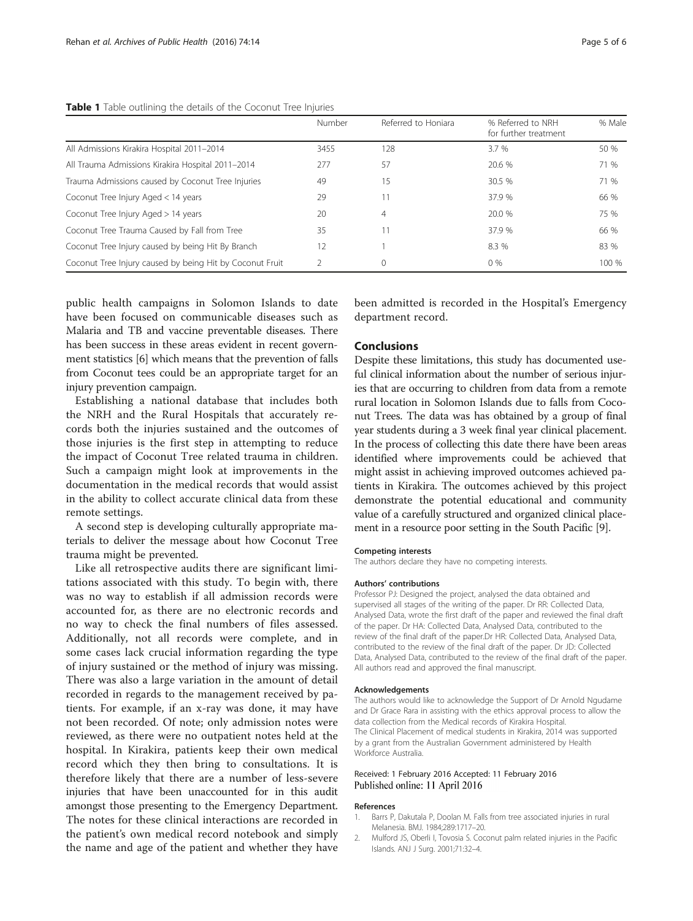|                                                          | Number | Referred to Honiara | % Referred to NRH<br>for further treatment | % Male |
|----------------------------------------------------------|--------|---------------------|--------------------------------------------|--------|
| All Admissions Kirakira Hospital 2011-2014               | 3455   | 128                 | 3.7 %                                      | 50 %   |
| All Trauma Admissions Kirakira Hospital 2011-2014        | 277    | 57                  | 20.6 %                                     | 71 %   |
| Trauma Admissions caused by Coconut Tree Injuries        | 49     | 15                  | 30.5 %                                     | 71 %   |
| Coconut Tree Injury Aged < 14 years                      | 29     |                     | 37.9 %                                     | 66 %   |
| Coconut Tree Injury Aged > 14 years                      | 20     | 4                   | 20.0 %                                     | 75 %   |
| Coconut Tree Trauma Caused by Fall from Tree             | 35     |                     | 37.9 %                                     | 66 %   |
| Coconut Tree Injury caused by being Hit By Branch        | 12     |                     | 8.3 %                                      | 83 %   |
| Coconut Tree Injury caused by being Hit by Coconut Fruit |        | $\Omega$            | $0\%$                                      | 100%   |

#### <span id="page-4-0"></span>Table 1 Table outlining the details of the Coconut Tree Injuries

public health campaigns in Solomon Islands to date have been focused on communicable diseases such as Malaria and TB and vaccine preventable diseases. There has been success in these areas evident in recent government statistics [[6\]](#page--1-0) which means that the prevention of falls from Coconut tees could be an appropriate target for an injury prevention campaign.

Establishing a national database that includes both the NRH and the Rural Hospitals that accurately records both the injuries sustained and the outcomes of those injuries is the first step in attempting to reduce the impact of Coconut Tree related trauma in children. Such a campaign might look at improvements in the documentation in the medical records that would assist in the ability to collect accurate clinical data from these remote settings.

A second step is developing culturally appropriate materials to deliver the message about how Coconut Tree trauma might be prevented.

Like all retrospective audits there are significant limitations associated with this study. To begin with, there was no way to establish if all admission records were accounted for, as there are no electronic records and no way to check the final numbers of files assessed. Additionally, not all records were complete, and in some cases lack crucial information regarding the type of injury sustained or the method of injury was missing. There was also a large variation in the amount of detail recorded in regards to the management received by patients. For example, if an x-ray was done, it may have not been recorded. Of note; only admission notes were reviewed, as there were no outpatient notes held at the hospital. In Kirakira, patients keep their own medical record which they then bring to consultations. It is therefore likely that there are a number of less-severe injuries that have been unaccounted for in this audit amongst those presenting to the Emergency Department. The notes for these clinical interactions are recorded in the patient's own medical record notebook and simply the name and age of the patient and whether they have

been admitted is recorded in the Hospital's Emergency department record.

## Conclusions

Despite these limitations, this study has documented useful clinical information about the number of serious injuries that are occurring to children from data from a remote rural location in Solomon Islands due to falls from Coconut Trees. The data was has obtained by a group of final year students during a 3 week final year clinical placement. In the process of collecting this date there have been areas identified where improvements could be achieved that might assist in achieving improved outcomes achieved patients in Kirakira. The outcomes achieved by this project demonstrate the potential educational and community value of a carefully structured and organized clinical placement in a resource poor setting in the South Pacific [\[9](#page--1-0)].

#### Competing interests

The authors declare they have no competing interests.

#### Authors' contributions

Professor PJ: Designed the project, analysed the data obtained and supervised all stages of the writing of the paper. Dr RR: Collected Data, Analysed Data, wrote the first draft of the paper and reviewed the final draft of the paper. Dr HA: Collected Data, Analysed Data, contributed to the review of the final draft of the paper.Dr HR: Collected Data, Analysed Data, contributed to the review of the final draft of the paper. Dr JD: Collected Data, Analysed Data, contributed to the review of the final draft of the paper. All authors read and approved the final manuscript.

#### Acknowledgements

The authors would like to acknowledge the Support of Dr Arnold Ngudame and Dr Grace Rara in assisting with the ethics approval process to allow the data collection from the Medical records of Kirakira Hospital. The Clinical Placement of medical students in Kirakira, 2014 was supported by a grant from the Australian Government administered by Health Workforce Australia.

## Received: 1 February 2016 Accepted: 11 February 2016 Published online: 11 April 2016

#### References

- 1. Barrs P, Dakutala P, Doolan M. Falls from tree associated injuries in rural Melanesia. BMJ. 1984;289:1717–20.
- 2. Mulford JS, Oberli I, Tovosia S. Coconut palm related injuries in the Pacific Islands. ANJ J Surg. 2001;71:32–4.